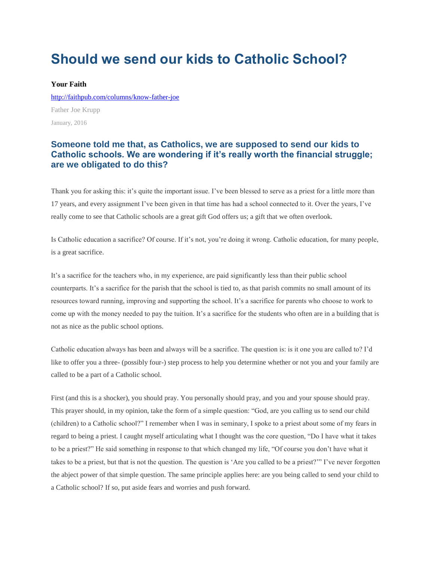## **Should we send our kids to Catholic School?**

## **Your Faith**

<http://faithpub.com/columns/know-father-joe> Father Joe Krupp January, 2016

## **Someone told me that, as Catholics, we are supposed to send our kids to Catholic schools. We are wondering if it's really worth the financial struggle; are we obligated to do this?**

Thank you for asking this: it's quite the important issue. I've been blessed to serve as a priest for a little more than 17 years, and every assignment I've been given in that time has had a school connected to it. Over the years, I've really come to see that Catholic schools are a great gift God offers us; a gift that we often overlook.

Is Catholic education a sacrifice? Of course. If it's not, you're doing it wrong. Catholic education, for many people, is a great sacrifice.

It's a sacrifice for the teachers who, in my experience, are paid significantly less than their public school counterparts. It's a sacrifice for the parish that the school is tied to, as that parish commits no small amount of its resources toward running, improving and supporting the school. It's a sacrifice for parents who choose to work to come up with the money needed to pay the tuition. It's a sacrifice for the students who often are in a building that is not as nice as the public school options.

Catholic education always has been and always will be a sacrifice. The question is: is it one you are called to? I'd like to offer you a three- (possibly four-) step process to help you determine whether or not you and your family are called to be a part of a Catholic school.

First (and this is a shocker), you should pray. You personally should pray, and you and your spouse should pray. This prayer should, in my opinion, take the form of a simple question: "God, are you calling us to send our child (children) to a Catholic school?" I remember when I was in seminary, I spoke to a priest about some of my fears in regard to being a priest. I caught myself articulating what I thought was the core question, "Do I have what it takes to be a priest?" He said something in response to that which changed my life, "Of course you don't have what it takes to be a priest, but that is not the question. The question is 'Are you called to be a priest?'" I've never forgotten the abject power of that simple question. The same principle applies here: are you being called to send your child to a Catholic school? If so, put aside fears and worries and push forward.